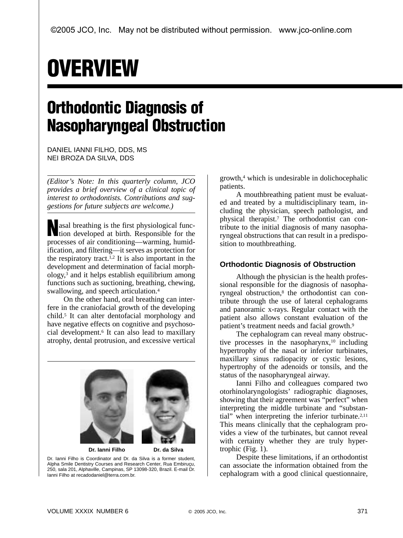## **OVERVIEW**

## **Orthodontic Diagnosis of Nasopharyngeal Obstruction**

DANIEL IANNI FILHO, DDS, MS NEI BROZA DA SILVA, DDS

*(Editor's Note: In this quarterly column, JCO provides a brief overview of a clinical topic of interest to orthodontists. Contributions and suggestions for future subjects are welcome.)*

asal breathing is the first physiological func-<br>tion developed at birth. Responsible for the tion developed at birth. Responsible for the processes of air conditioning—warming, humidification, and filtering—it serves as protection for the respiratory tract.1,2 It is also important in the development and determination of facial morphology,3 and it helps establish equilibrium among functions such as suctioning, breathing, chewing, swallowing, and speech articulation.4

On the other hand, oral breathing can interfere in the craniofacial growth of the developing child.5 It can alter dentofacial morphology and have negative effects on cognitive and psychosocial development.6 It can also lead to maxillary atrophy, dental protrusion, and excessive vertical



Dr. Ianni Filho is Coordinator and Dr. da Silva is a former student, Alpha Smile Dentistry Courses and Research Center, Rua Embiruçu, 250, sala 201, Alphaville, Campinas, SP 13098-320, Brazil. E-mail Dr. Ianni Filho at recadodaniel@terra.com.br.

growth,4 which is undesirable in dolichocephalic patients.

A mouthbreathing patient must be evaluated and treated by a multidisciplinary team, including the physician, speech pathologist, and physical therapist.7 The orthodontist can contribute to the initial diagnosis of many nasopharyngeal obstructions that can result in a predisposition to mouthbreathing.

## **Orthodontic Diagnosis of Obstruction**

Although the physician is the health professional responsible for the diagnosis of nasopharyngeal obstruction,<sup>8</sup> the orthodontist can contribute through the use of lateral cephalograms and panoramic x-rays. Regular contact with the patient also allows constant evaluation of the patient's treatment needs and facial growth.9

The cephalogram can reveal many obstructive processes in the nasopharynx, $10$  including hypertrophy of the nasal or inferior turbinates, maxillary sinus radiopacity or cystic lesions, hypertrophy of the adenoids or tonsils, and the status of the nasopharyngeal airway.

Ianni Filho and colleagues compared two otorhinolaryngologists' radiographic diagnoses, showing that their agreement was "perfect" when interpreting the middle turbinate and "substantial" when interpreting the inferior turbinate.<sup>2,11</sup> This means clinically that the cephalogram provides a view of the turbinates, but cannot reveal with certainty whether they are truly hypertrophic (Fig. 1).

Despite these limitations, if an orthodontist can associate the information obtained from the cephalogram with a good clinical questionnaire,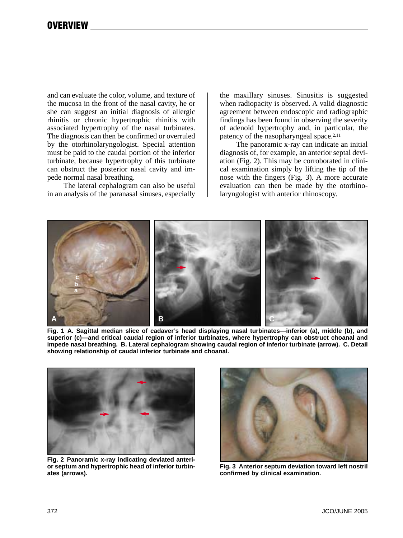and can evaluate the color, volume, and texture of the mucosa in the front of the nasal cavity, he or she can suggest an initial diagnosis of allergic rhinitis or chronic hypertrophic rhinitis with associated hypertrophy of the nasal turbinates. The diagnosis can then be confirmed or overruled by the otorhinolaryngologist. Special attention must be paid to the caudal portion of the inferior turbinate, because hypertrophy of this turbinate can obstruct the posterior nasal cavity and impede normal nasal breathing.

The lateral cephalogram can also be useful in an analysis of the paranasal sinuses, especially the maxillary sinuses. Sinusitis is suggested when radiopacity is observed. A valid diagnostic agreement between endoscopic and radiographic findings has been found in observing the severity of adenoid hypertrophy and, in particular, the patency of the nasopharyngeal space.2,11

The panoramic x-ray can indicate an initial diagnosis of, for example, an anterior septal deviation (Fig. 2). This may be corroborated in clinical examination simply by lifting the tip of the nose with the fingers (Fig. 3). A more accurate evaluation can then be made by the otorhinolaryngologist with anterior rhinoscopy.



**Fig. 1 A. Sagittal median slice of cadaver's head displaying nasal turbinates—inferior (a), middle (b), and superior (c)—and critical caudal region of inferior turbinates, where hypertrophy can obstruct choanal and impede nasal breathing. B. Lateral cephalogram showing caudal region of inferior turbinate (arrow). C. Detail showing relationship of caudal inferior turbinate and choanal.**



**Fig. 2 Panoramic x-ray indicating deviated anterior septum and hypertrophic head of inferior turbinates (arrows).**



**Fig. 3 Anterior septum deviation toward left nostril confirmed by clinical examination.**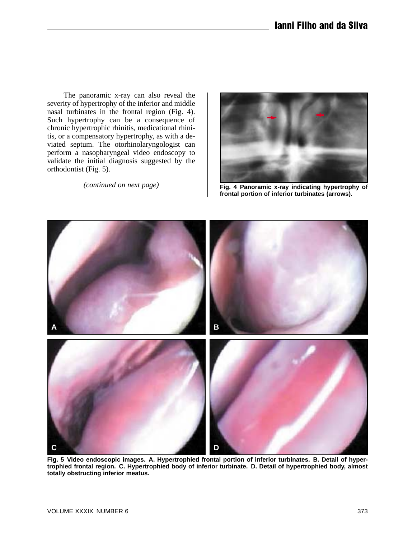The panoramic x-ray can also reveal the severity of hypertrophy of the inferior and middle nasal turbinates in the frontal region (Fig. 4). Such hypertrophy can be a consequence of chronic hypertrophic rhinitis, medicational rhinitis, or a compensatory hypertrophy, as with a deviated septum. The otorhinolaryngologist can perform a nasopharyngeal video endoscopy to validate the initial diagnosis suggested by the orthodontist (Fig. 5).

*(continued on next page)*



**Fig. 4 Panoramic x-ray indicating hypertrophy of frontal portion of inferior turbinates (arrows).**



**Fig. 5 Video endoscopic images. A. Hypertrophied frontal portion of inferior turbinates. B. Detail of hypertrophied frontal region. C. Hypertrophied body of inferior turbinate. D. Detail of hypertrophied body, almost totally obstructing inferior meatus.**